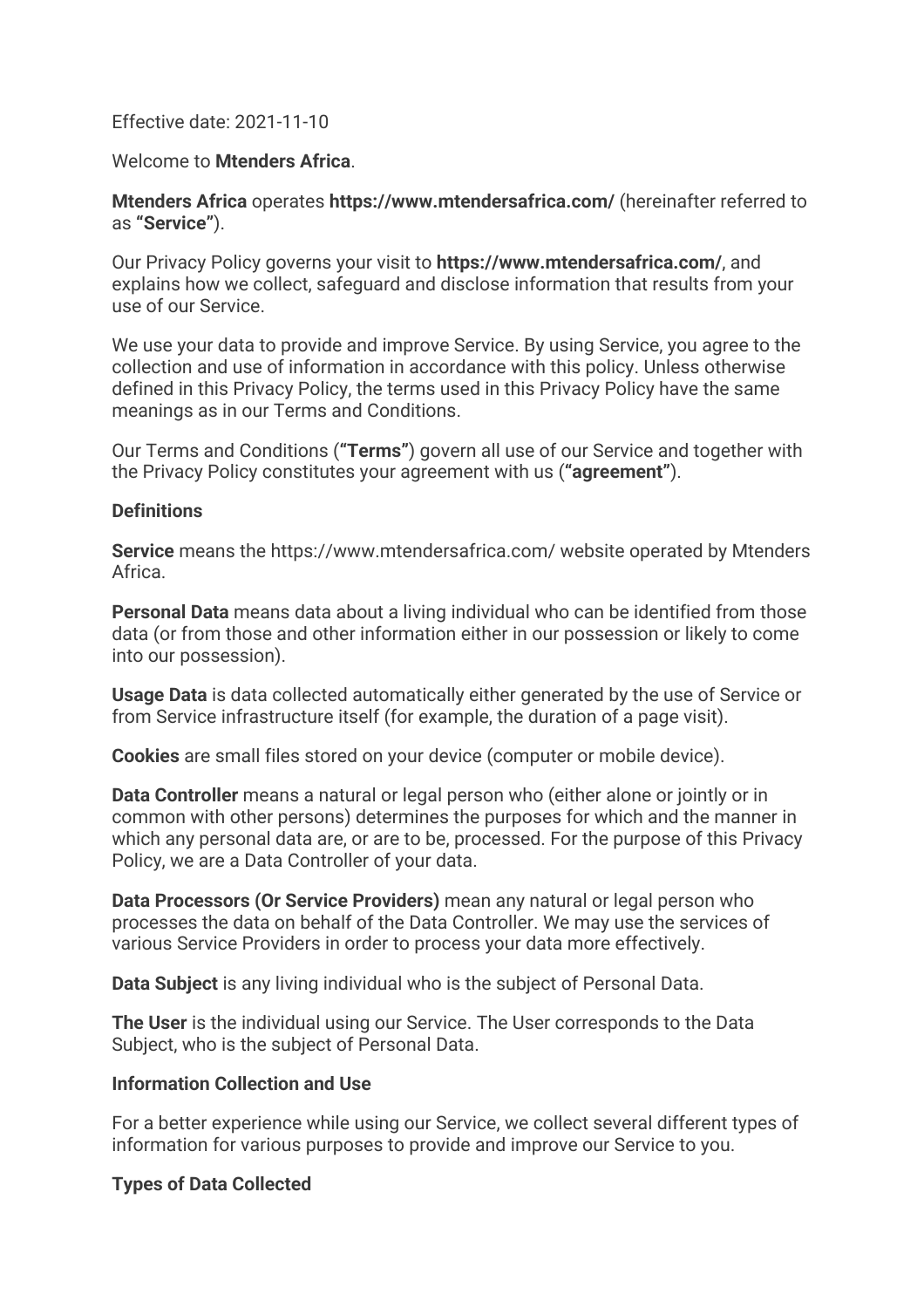### Effective date: 2021-11-10

### Welcome to **Mtenders Africa**.

### **Mtenders Africa** operates **https://www.mtendersafrica.com/** (hereinafter referred to as **"Service"**).

Our Privacy Policy governs your visit to **https://www.mtendersafrica.com/**, and explains how we collect, safeguard and disclose information that results from your use of our Service.

We use your data to provide and improve Service. By using Service, you agree to the collection and use of information in accordance with this policy. Unless otherwise defined in this Privacy Policy, the terms used in this Privacy Policy have the same meanings as in our Terms and Conditions.

Our Terms and Conditions (**"Terms"**) govern all use of our Service and together with the Privacy Policy constitutes your agreement with us (**"agreement"**).

#### **Definitions**

**Service** means the https://www.mtendersafrica.com/ website operated by Mtenders Africa.

**Personal Data** means data about a living individual who can be identified from those data (or from those and other information either in our possession or likely to come into our possession).

**Usage Data** is data collected automatically either generated by the use of Service or from Service infrastructure itself (for example, the duration of a page visit).

**Cookies** are small files stored on your device (computer or mobile device).

**Data Controller** means a natural or legal person who (either alone or jointly or in common with other persons) determines the purposes for which and the manner in which any personal data are, or are to be, processed. For the purpose of this Privacy Policy, we are a Data Controller of your data.

**Data Processors (Or Service Providers)** mean any natural or legal person who processes the data on behalf of the Data Controller. We may use the services of various Service Providers in order to process your data more effectively.

**Data Subject** is any living individual who is the subject of Personal Data.

**The User** is the individual using our Service. The User corresponds to the Data Subject, who is the subject of Personal Data.

### **Information Collection and Use**

For a better experience while using our Service, we collect several different types of information for various purposes to provide and improve our Service to you.

### **Types of Data Collected**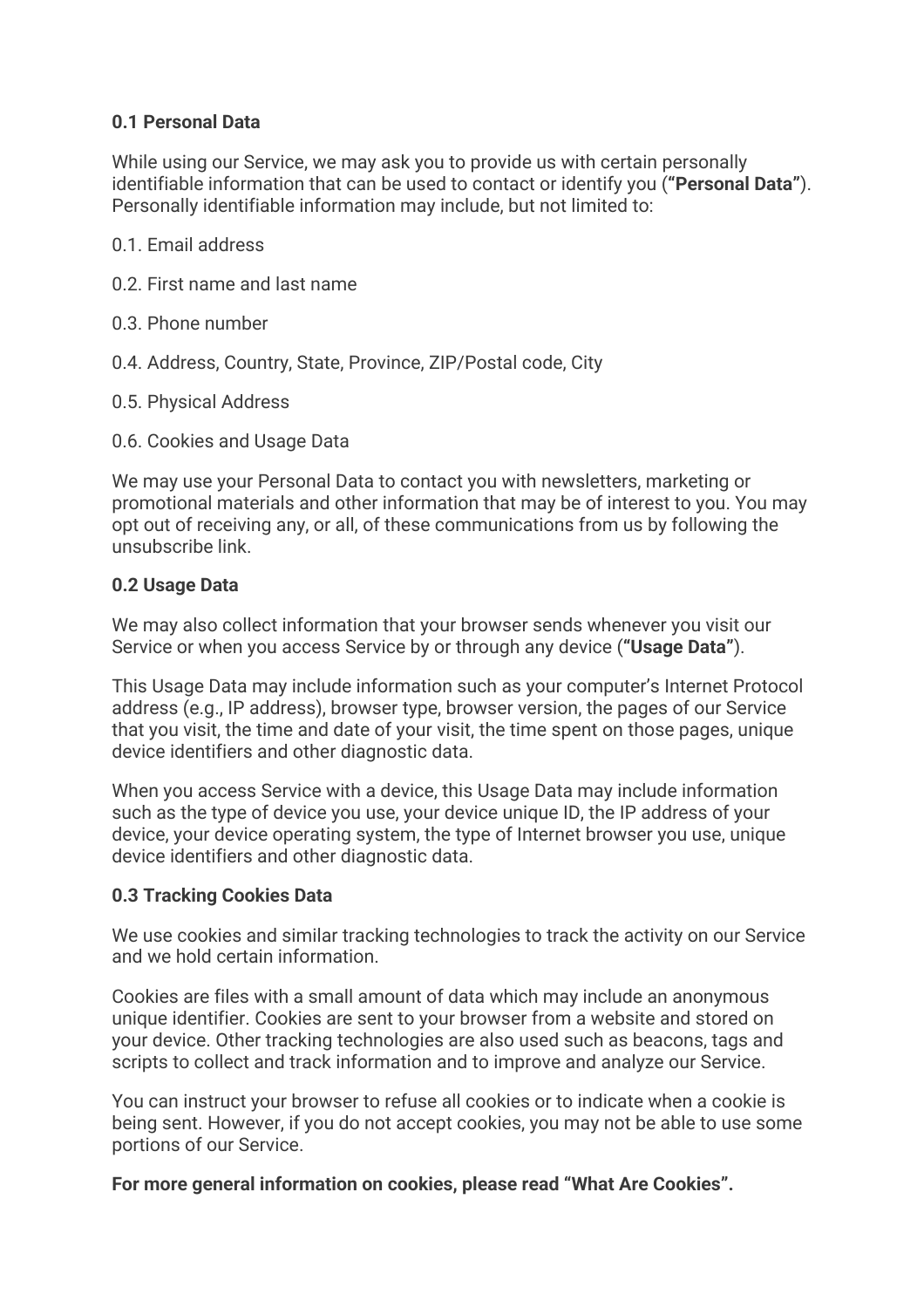## **0.1 Personal Data**

While using our Service, we may ask you to provide us with certain personally identifiable information that can be used to contact or identify you (**"Personal Data"**). Personally identifiable information may include, but not limited to:

- 0.1. Email address
- 0.2. First name and last name
- 0.3. Phone number
- 0.4. Address, Country, State, Province, ZIP/Postal code, City
- 0.5. Physical Address
- 0.6. Cookies and Usage Data

We may use your Personal Data to contact you with newsletters, marketing or promotional materials and other information that may be of interest to you. You may opt out of receiving any, or all, of these communications from us by following the unsubscribe link.

### **0.2 Usage Data**

We may also collect information that your browser sends whenever you visit our Service or when you access Service by or through any device (**"Usage Data"**).

This Usage Data may include information such as your computer's Internet Protocol address (e.g., IP address), browser type, browser version, the pages of our Service that you visit, the time and date of your visit, the time spent on those pages, unique device identifiers and other diagnostic data.

When you access Service with a device, this Usage Data may include information such as the type of device you use, your device unique ID, the IP address of your device, your device operating system, the type of Internet browser you use, unique device identifiers and other diagnostic data.

## **0.3 Tracking Cookies Data**

We use cookies and similar tracking technologies to track the activity on our Service and we hold certain information.

Cookies are files with a small amount of data which may include an anonymous unique identifier. Cookies are sent to your browser from a website and stored on your device. Other tracking technologies are also used such as beacons, tags and scripts to collect and track information and to improve and analyze our Service.

You can instruct your browser to refuse all cookies or to indicate when a cookie is being sent. However, if you do not accept cookies, you may not be able to use some portions of our Service.

**For more general information on cookies, please read "What Are Cookies".**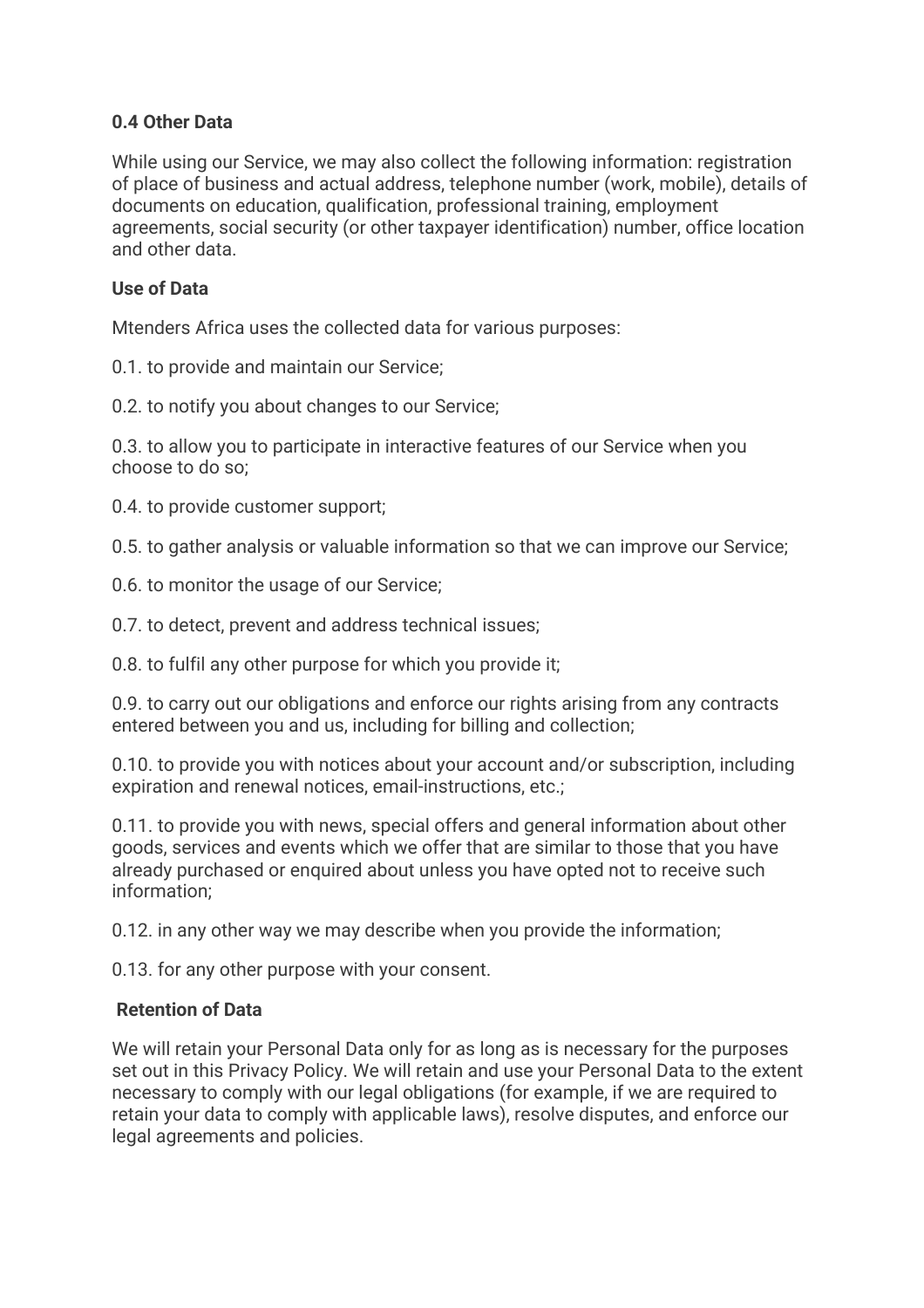# **0.4 Other Data**

While using our Service, we may also collect the following information: registration of place of business and actual address, telephone number (work, mobile), details of documents on education, qualification, professional training, employment agreements, social security (or other taxpayer identification) number, office location and other data.

## **Use of Data**

Mtenders Africa uses the collected data for various purposes:

0.1. to provide and maintain our Service;

0.2. to notify you about changes to our Service;

0.3. to allow you to participate in interactive features of our Service when you choose to do so;

0.4. to provide customer support;

0.5. to gather analysis or valuable information so that we can improve our Service;

- 0.6. to monitor the usage of our Service;
- 0.7. to detect, prevent and address technical issues;
- 0.8. to fulfil any other purpose for which you provide it;

0.9. to carry out our obligations and enforce our rights arising from any contracts entered between you and us, including for billing and collection;

0.10. to provide you with notices about your account and/or subscription, including expiration and renewal notices, email-instructions, etc.;

0.11. to provide you with news, special offers and general information about other goods, services and events which we offer that are similar to those that you have already purchased or enquired about unless you have opted not to receive such information;

0.12. in any other way we may describe when you provide the information;

0.13. for any other purpose with your consent.

### **Retention of Data**

We will retain your Personal Data only for as long as is necessary for the purposes set out in this Privacy Policy. We will retain and use your Personal Data to the extent necessary to comply with our legal obligations (for example, if we are required to retain your data to comply with applicable laws), resolve disputes, and enforce our legal agreements and policies.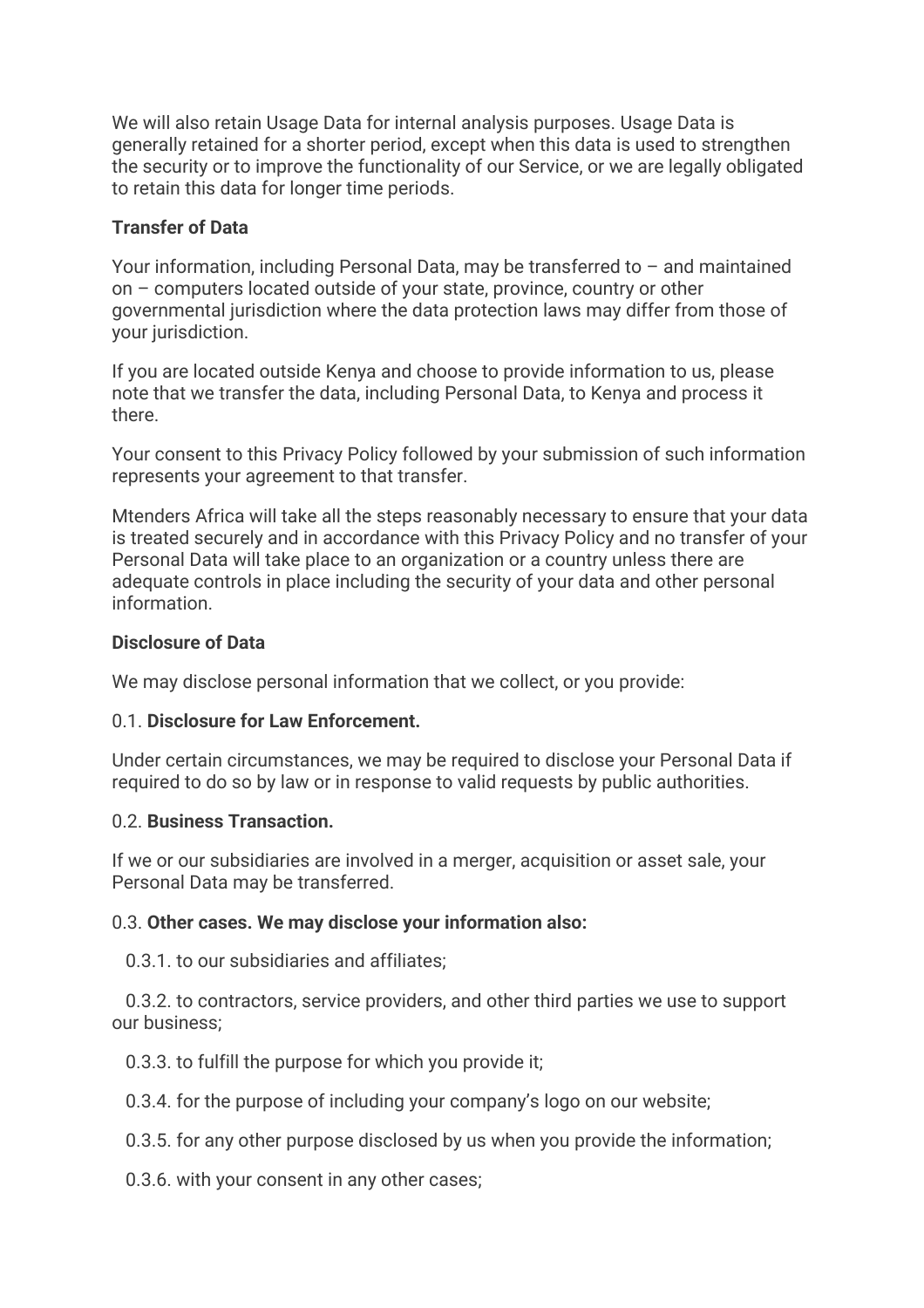We will also retain Usage Data for internal analysis purposes. Usage Data is generally retained for a shorter period, except when this data is used to strengthen the security or to improve the functionality of our Service, or we are legally obligated to retain this data for longer time periods.

### **Transfer of Data**

Your information, including Personal Data, may be transferred to – and maintained on – computers located outside of your state, province, country or other governmental jurisdiction where the data protection laws may differ from those of your jurisdiction.

If you are located outside Kenya and choose to provide information to us, please note that we transfer the data, including Personal Data, to Kenya and process it there.

Your consent to this Privacy Policy followed by your submission of such information represents your agreement to that transfer.

Mtenders Africa will take all the steps reasonably necessary to ensure that your data is treated securely and in accordance with this Privacy Policy and no transfer of your Personal Data will take place to an organization or a country unless there are adequate controls in place including the security of your data and other personal information.

### **Disclosure of Data**

We may disclose personal information that we collect, or you provide:

### 0.1. **Disclosure for Law Enforcement.**

Under certain circumstances, we may be required to disclose your Personal Data if required to do so by law or in response to valid requests by public authorities.

### 0.2. **Business Transaction.**

If we or our subsidiaries are involved in a merger, acquisition or asset sale, your Personal Data may be transferred.

### 0.3. **Other cases. We may disclose your information also:**

0.3.1. to our subsidiaries and affiliates;

 0.3.2. to contractors, service providers, and other third parties we use to support our business;

0.3.3. to fulfill the purpose for which you provide it;

0.3.4. for the purpose of including your company's logo on our website;

0.3.5. for any other purpose disclosed by us when you provide the information;

0.3.6. with your consent in any other cases;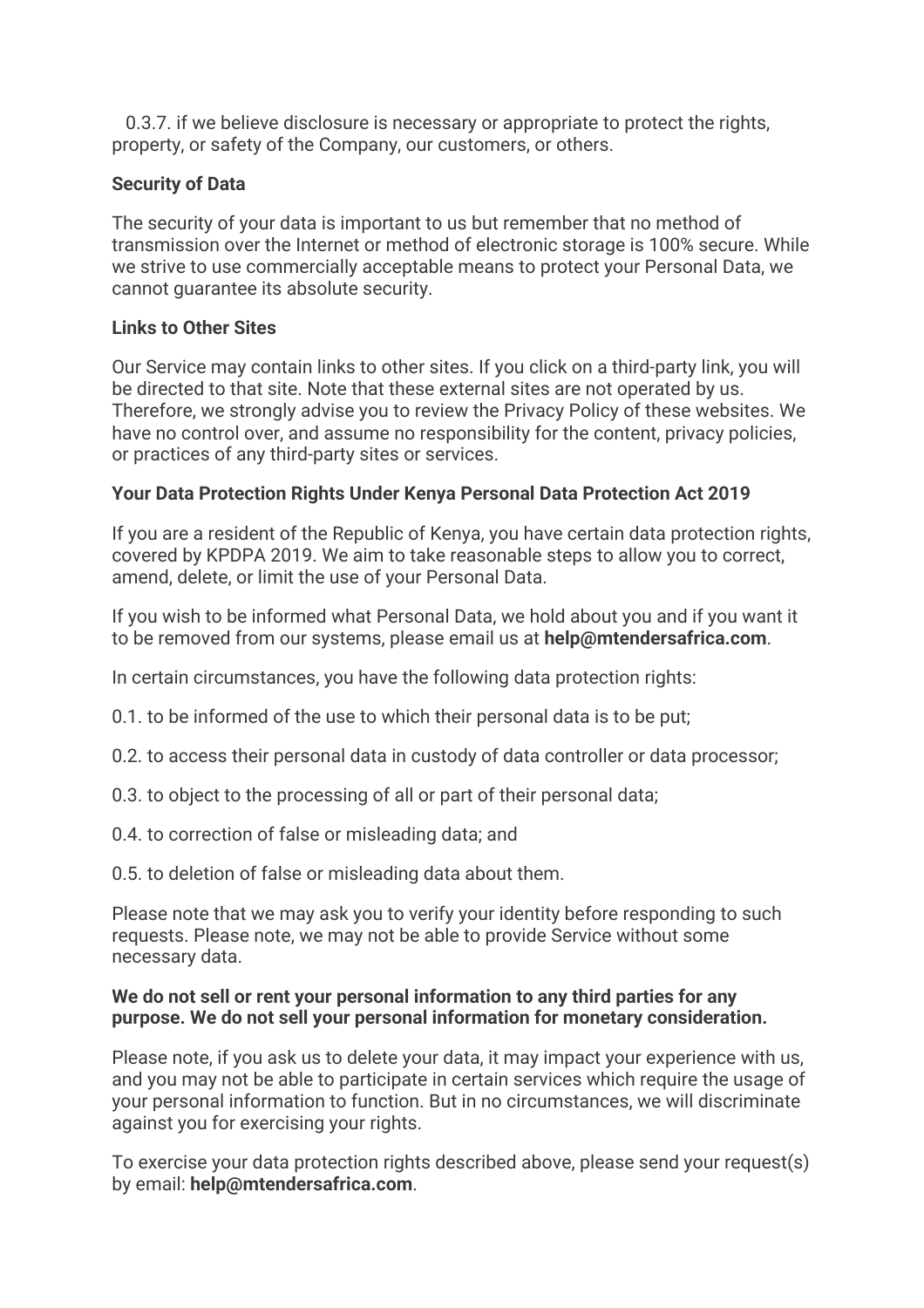0.3.7. if we believe disclosure is necessary or appropriate to protect the rights, property, or safety of the Company, our customers, or others.

## **Security of Data**

The security of your data is important to us but remember that no method of transmission over the Internet or method of electronic storage is 100% secure. While we strive to use commercially acceptable means to protect your Personal Data, we cannot guarantee its absolute security.

## **Links to Other Sites**

Our Service may contain links to other sites. If you click on a third-party link, you will be directed to that site. Note that these external sites are not operated by us. Therefore, we strongly advise you to review the Privacy Policy of these websites. We have no control over, and assume no responsibility for the content, privacy policies, or practices of any third-party sites or services.

## **Your Data Protection Rights Under Kenya Personal Data Protection Act 2019**

If you are a resident of the Republic of Kenya, you have certain data protection rights, covered by KPDPA 2019. We aim to take reasonable steps to allow you to correct, amend, delete, or limit the use of your Personal Data.

If you wish to be informed what Personal Data, we hold about you and if you want it to be removed from our systems, please email us at **help@mtendersafrica.com**.

In certain circumstances, you have the following data protection rights:

0.1. to be informed of the use to which their personal data is to be put;

- 0.2. to access their personal data in custody of data controller or data processor;
- 0.3. to object to the processing of all or part of their personal data;
- 0.4. to correction of false or misleading data; and
- 0.5. to deletion of false or misleading data about them.

Please note that we may ask you to verify your identity before responding to such requests. Please note, we may not be able to provide Service without some necessary data.

### **We do not sell or rent your personal information to any third parties for any purpose. We do not sell your personal information for monetary consideration.**

Please note, if you ask us to delete your data, it may impact your experience with us, and you may not be able to participate in certain services which require the usage of your personal information to function. But in no circumstances, we will discriminate against you for exercising your rights.

To exercise your data protection rights described above, please send your request(s) by email: **help@mtendersafrica.com**.